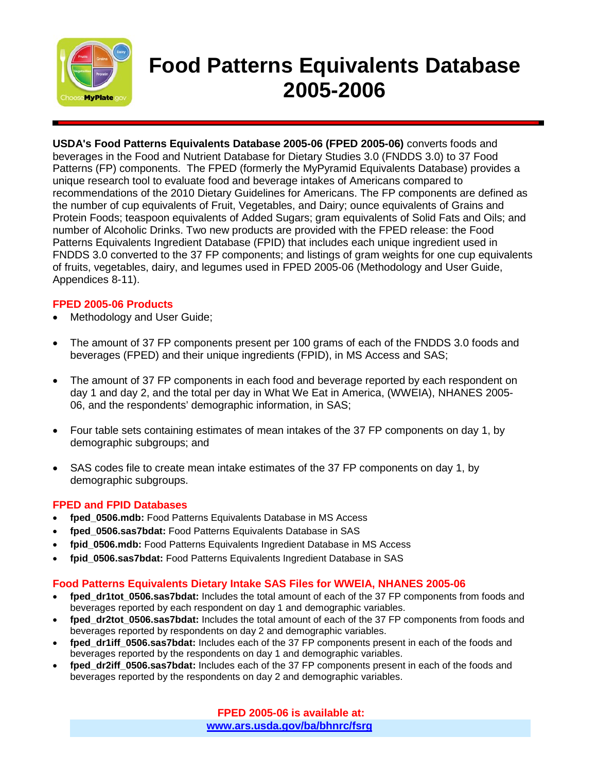

# **Food Patterns Equivalents Database 2005-2006**

**USDA's Food Patterns Equivalents Database 2005-06 (FPED 2005-06)** converts foods and beverages in the Food and Nutrient Database for Dietary Studies 3.0 (FNDDS 3.0) to 37 Food Patterns (FP) components. The FPED (formerly the MyPyramid Equivalents Database) provides a unique research tool to evaluate food and beverage intakes of Americans compared to recommendations of the 2010 Dietary Guidelines for Americans. The FP components are defined as the number of cup equivalents of Fruit, Vegetables, and Dairy; ounce equivalents of Grains and Protein Foods; teaspoon equivalents of Added Sugars; gram equivalents of Solid Fats and Oils; and number of Alcoholic Drinks. Two new products are provided with the FPED release: the Food Patterns Equivalents Ingredient Database (FPID) that includes each unique ingredient used in FNDDS 3.0 converted to the 37 FP components; and listings of gram weights for one cup equivalents of fruits, vegetables, dairy, and legumes used in FPED 2005-06 (Methodology and User Guide, Appendices 8-11).

#### **FPED 2005-06 Products**

- Methodology and User Guide;
- The amount of 37 FP components present per 100 grams of each of the FNDDS 3.0 foods and beverages (FPED) and their unique ingredients (FPID), in MS Access and SAS;
- The amount of 37 FP components in each food and beverage reported by each respondent on day 1 and day 2, and the total per day in What We Eat in America, (WWEIA), NHANES 2005- 06, and the respondents' demographic information, in SAS;
- Four table sets containing estimates of mean intakes of the 37 FP components on day 1, by demographic subgroups; and
- SAS codes file to create mean intake estimates of the 37 FP components on day 1, by demographic subgroups.

#### **FPED and FPID Databases**

- **fped\_0506.mdb:** Food Patterns Equivalents Database in MS Access
- **fped\_0506.sas7bdat:** Food Patterns Equivalents Database in SAS
- **fpid\_0506.mdb:** Food Patterns Equivalents Ingredient Database in MS Access
- **fpid\_0506.sas7bdat:** Food Patterns Equivalents Ingredient Database in SAS

### **Food Patterns Equivalents Dietary Intake SAS Files for WWEIA, NHANES 2005-06**

- fped dr1tot 0506.sas7bdat: Includes the total amount of each of the 37 FP components from foods and beverages reported by each respondent on day 1 and demographic variables.
- fped dr2tot 0506.sas7bdat: Includes the total amount of each of the 37 FP components from foods and beverages reported by respondents on day 2 and demographic variables.
- **fped\_dr1iff\_0506.sas7bdat:** Includes each of the 37 FP components present in each of the foods and beverages reported by the respondents on day 1 and demographic variables.
- fped dr2iff 0506.sas7bdat: Includes each of the 37 FP components present in each of the foods and beverages reported by the respondents on day 2 and demographic variables.

**FPED 2005-06 is available at: [www.ars.usda.gov/ba/bhnrc/fsrg](http://www.ars.usda.gov/ba/bhnrc/fsrg)**